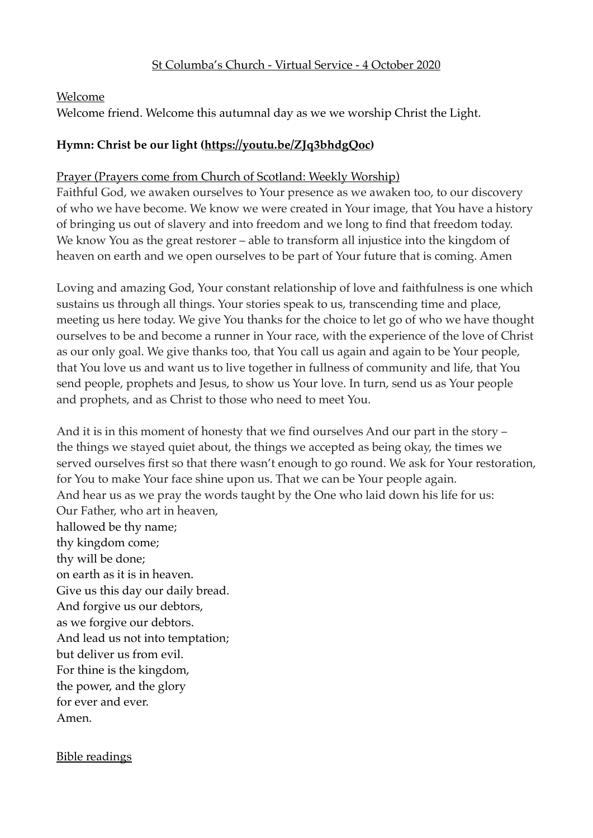## St Columba's Church - Virtual Service - 4 October 2020

#### Welcome

Welcome friend. Welcome this autumnal day as we we worship Christ the Light.

#### **Hymn: Christ be our light [\(https://youtu.be/ZJq3bhdgQoc\)](https://youtu.be/ZJq3bhdgQoc)**

#### Prayer (Prayers come from Church of Scotland: Weekly Worship)

Faithful God, we awaken ourselves to Your presence as we awaken too, to our discovery of who we have become. We know we were created in Your image, that You have a history of bringing us out of slavery and into freedom and we long to find that freedom today. We know You as the great restorer – able to transform all injustice into the kingdom of heaven on earth and we open ourselves to be part of Your future that is coming. Amen

Loving and amazing God, Your constant relationship of love and faithfulness is one which sustains us through all things. Your stories speak to us, transcending time and place, meeting us here today. We give You thanks for the choice to let go of who we have thought ourselves to be and become a runner in Your race, with the experience of the love of Christ as our only goal. We give thanks too, that You call us again and again to be Your people, that You love us and want us to live together in fullness of community and life, that You send people, prophets and Jesus, to show us Your love. In turn, send us as Your people and prophets, and as Christ to those who need to meet You.

And it is in this moment of honesty that we find ourselves And our part in the story – the things we stayed quiet about, the things we accepted as being okay, the times we served ourselves first so that there wasn't enough to go round. We ask for Your restoration, for You to make Your face shine upon us. That we can be Your people again. And hear us as we pray the words taught by the One who laid down his life for us: Our Father, who art in heaven, hallowed be thy name; thy kingdom come; thy will be done; on earth as it is in heaven. Give us this day our daily bread. And forgive us our debtors, as we forgive our debtors. And lead us not into temptation; but deliver us from evil. For thine is the kingdom, the power, and the glory for ever and ever. Amen.

#### Bible readings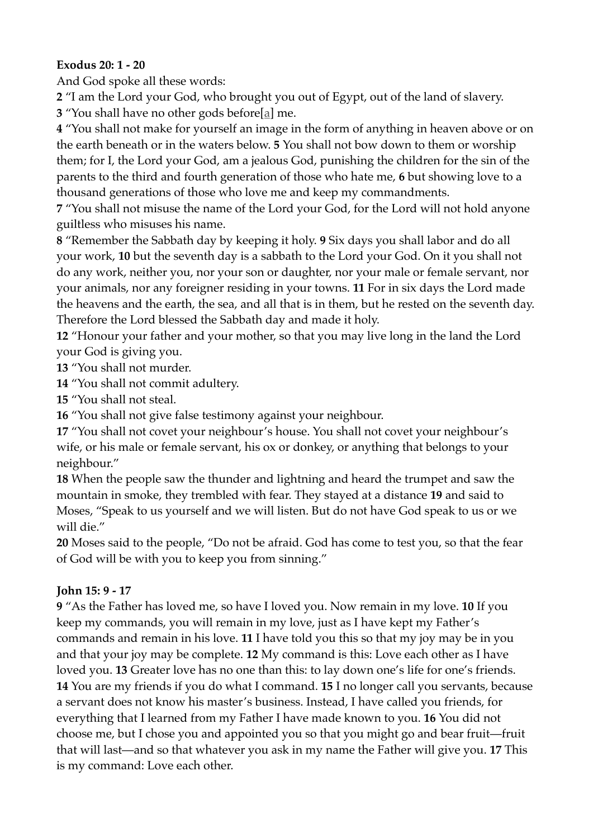## **Exodus 20: 1 - 20**

And God spoke all these words:

**2** "I am the Lord your God, who brought you out of Egypt, out of the land of slavery.

**3** "You shall have no other gods before[a] me.

**4** "You shall not make for yourself an image in the form of anything in heaven above or on the earth beneath or in the waters below. **5** You shall not bow down to them or worship them; for I, the Lord your God, am a jealous God, punishing the children for the sin of the parents to the third and fourth generation of those who hate me, **6** but showing love to a thousand generations of those who love me and keep my commandments.

**7** "You shall not misuse the name of the Lord your God, for the Lord will not hold anyone guiltless who misuses his name.

**8** "Remember the Sabbath day by keeping it holy. **9** Six days you shall labor and do all your work, **10** but the seventh day is a sabbath to the Lord your God. On it you shall not do any work, neither you, nor your son or daughter, nor your male or female servant, nor your animals, nor any foreigner residing in your towns. **11** For in six days the Lord made the heavens and the earth, the sea, and all that is in them, but he rested on the seventh day. Therefore the Lord blessed the Sabbath day and made it holy.

**12** "Honour your father and your mother, so that you may live long in the land the Lord your God is giving you.

**13** "You shall not murder.

**14** "You shall not commit adultery.

**15** "You shall not steal.

**16** "You shall not give false testimony against your neighbour.

**17** "You shall not covet your neighbour's house. You shall not covet your neighbour's wife, or his male or female servant, his ox or donkey, or anything that belongs to your neighbour."

**18** When the people saw the thunder and lightning and heard the trumpet and saw the mountain in smoke, they trembled with fear. They stayed at a distance **19** and said to Moses, "Speak to us yourself and we will listen. But do not have God speak to us or we will die."

**20** Moses said to the people, "Do not be afraid. God has come to test you, so that the fear of God will be with you to keep you from sinning."

## **John 15: 9 - 17**

**9** "As the Father has loved me, so have I loved you. Now remain in my love. **10** If you keep my commands, you will remain in my love, just as I have kept my Father's commands and remain in his love. **11** I have told you this so that my joy may be in you and that your joy may be complete. **12** My command is this: Love each other as I have loved you. **13** Greater love has no one than this: to lay down one's life for one's friends. **14** You are my friends if you do what I command. **15** I no longer call you servants, because a servant does not know his master's business. Instead, I have called you friends, for everything that I learned from my Father I have made known to you. **16** You did not choose me, but I chose you and appointed you so that you might go and bear fruit—fruit that will last—and so that whatever you ask in my name the Father will give you. **17** This is my command: Love each other.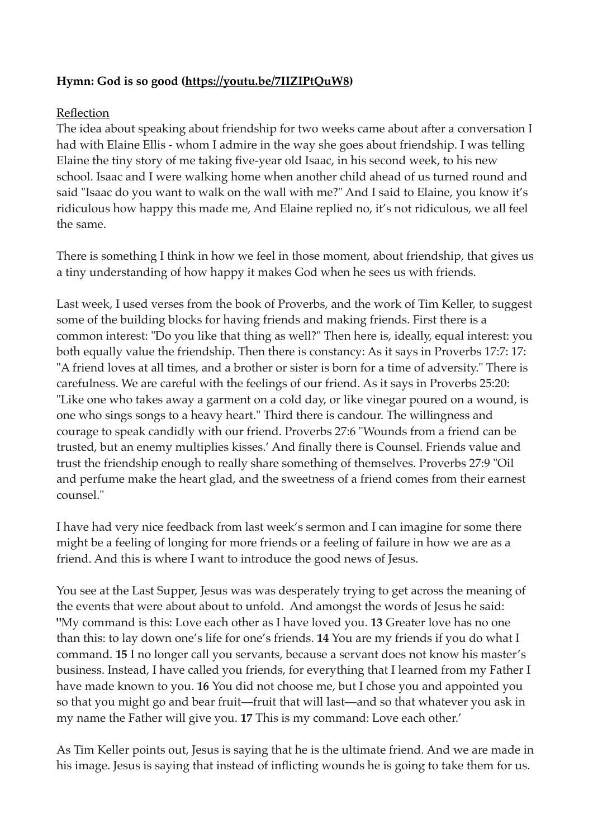## **Hymn: God is so good [\(https://youtu.be/7IIZIPtQuW8\)](https://youtu.be/7IIZIPtQuW8)**

#### Reflection

The idea about speaking about friendship for two weeks came about after a conversation I had with Elaine Ellis - whom I admire in the way she goes about friendship. I was telling Elaine the tiny story of me taking five-year old Isaac, in his second week, to his new school. Isaac and I were walking home when another child ahead of us turned round and said "Isaac do you want to walk on the wall with me?" And I said to Elaine, you know it's ridiculous how happy this made me, And Elaine replied no, it's not ridiculous, we all feel the same.

There is something I think in how we feel in those moment, about friendship, that gives us a tiny understanding of how happy it makes God when he sees us with friends.

Last week, I used verses from the book of Proverbs, and the work of Tim Keller, to suggest some of the building blocks for having friends and making friends. First there is a common interest: "Do you like that thing as well?" Then here is, ideally, equal interest: you both equally value the friendship. Then there is constancy: As it says in Proverbs 17:7: 17: "A friend loves at all times, and a brother or sister is born for a time of adversity." There is carefulness. We are careful with the feelings of our friend. As it says in Proverbs 25:20: "Like one who takes away a garment on a cold day, or like vinegar poured on a wound, is one who sings songs to a heavy heart." Third there is candour. The willingness and courage to speak candidly with our friend. Proverbs 27:6 "Wounds from a friend can be trusted, but an enemy multiplies kisses.' And finally there is Counsel. Friends value and trust the friendship enough to really share something of themselves. Proverbs 27:9 "Oil and perfume make the heart glad, and the sweetness of a friend comes from their earnest counsel."

I have had very nice feedback from last week's sermon and I can imagine for some there might be a feeling of longing for more friends or a feeling of failure in how we are as a friend. And this is where I want to introduce the good news of Jesus.

You see at the Last Supper, Jesus was was desperately trying to get across the meaning of the events that were about about to unfold. And amongst the words of Jesus he said: **"**My command is this: Love each other as I have loved you. **13** Greater love has no one than this: to lay down one's life for one's friends. **14** You are my friends if you do what I command. **15** I no longer call you servants, because a servant does not know his master's business. Instead, I have called you friends, for everything that I learned from my Father I have made known to you. **16** You did not choose me, but I chose you and appointed you so that you might go and bear fruit—fruit that will last—and so that whatever you ask in my name the Father will give you. **17** This is my command: Love each other.'

As Tim Keller points out, Jesus is saying that he is the ultimate friend. And we are made in his image. Jesus is saying that instead of inflicting wounds he is going to take them for us.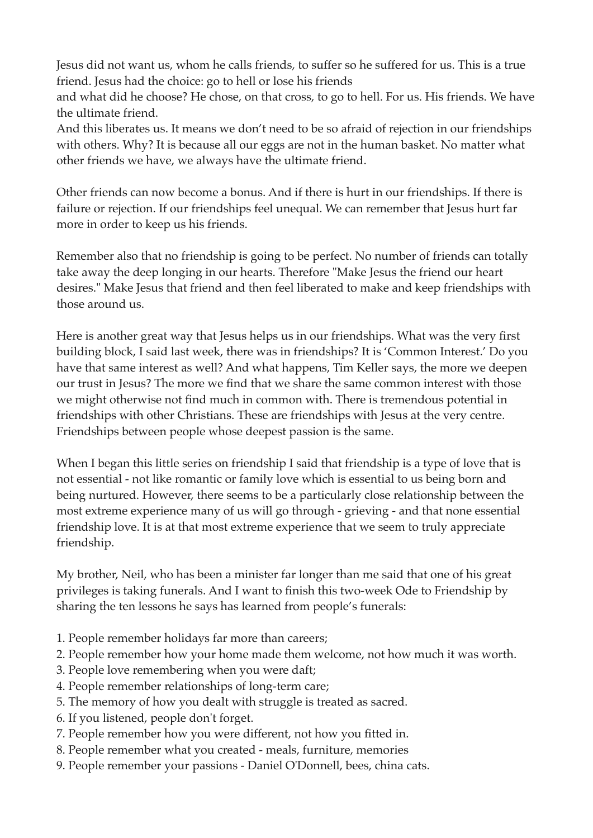Jesus did not want us, whom he calls friends, to suffer so he suffered for us. This is a true friend. Jesus had the choice: go to hell or lose his friends

and what did he choose? He chose, on that cross, to go to hell. For us. His friends. We have the ultimate friend.

And this liberates us. It means we don't need to be so afraid of rejection in our friendships with others. Why? It is because all our eggs are not in the human basket. No matter what other friends we have, we always have the ultimate friend.

Other friends can now become a bonus. And if there is hurt in our friendships. If there is failure or rejection. If our friendships feel unequal. We can remember that Jesus hurt far more in order to keep us his friends.

Remember also that no friendship is going to be perfect. No number of friends can totally take away the deep longing in our hearts. Therefore "Make Jesus the friend our heart desires." Make Jesus that friend and then feel liberated to make and keep friendships with those around us.

Here is another great way that Jesus helps us in our friendships. What was the very first building block, I said last week, there was in friendships? It is 'Common Interest.' Do you have that same interest as well? And what happens, Tim Keller says, the more we deepen our trust in Jesus? The more we find that we share the same common interest with those we might otherwise not find much in common with. There is tremendous potential in friendships with other Christians. These are friendships with Jesus at the very centre. Friendships between people whose deepest passion is the same.

When I began this little series on friendship I said that friendship is a type of love that is not essential - not like romantic or family love which is essential to us being born and being nurtured. However, there seems to be a particularly close relationship between the most extreme experience many of us will go through - grieving - and that none essential friendship love. It is at that most extreme experience that we seem to truly appreciate friendship.

My brother, Neil, who has been a minister far longer than me said that one of his great privileges is taking funerals. And I want to finish this two-week Ode to Friendship by sharing the ten lessons he says has learned from people's funerals:

- 1. People remember holidays far more than careers;
- 2. People remember how your home made them welcome, not how much it was worth.
- 3. People love remembering when you were daft;
- 4. People remember relationships of long-term care;
- 5. The memory of how you dealt with struggle is treated as sacred.
- 6. If you listened, people don't forget.
- 7. People remember how you were different, not how you fitted in.
- 8. People remember what you created meals, furniture, memories
- 9. People remember your passions Daniel O'Donnell, bees, china cats.